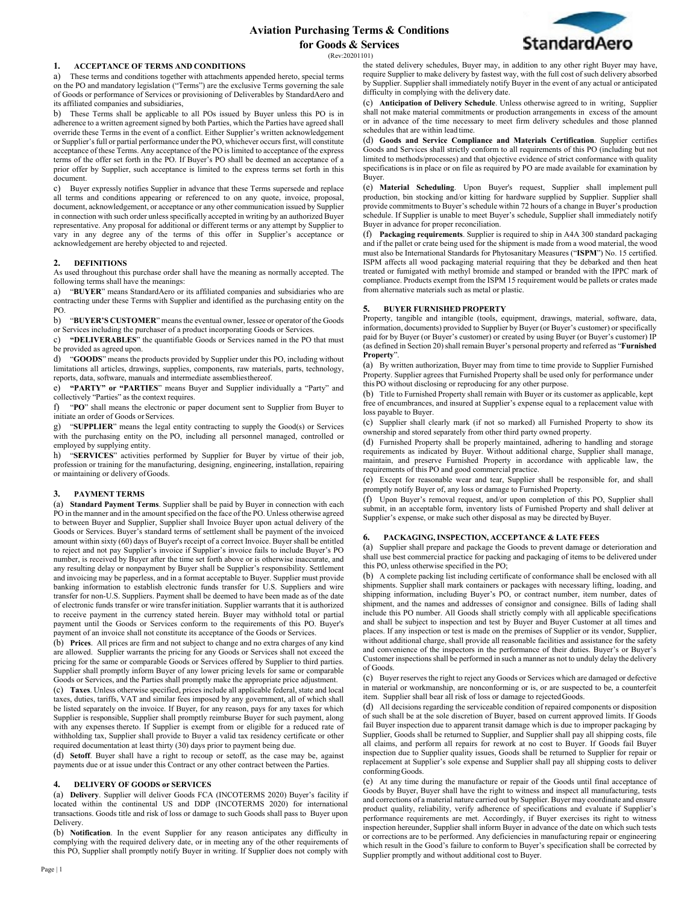# **Aviation Purchasing Terms & Conditions for Goods & Services**



(Rev:20201101)

### **1. ACCEPTANCE OF TERMS AND CONDITIONS**

a) These terms and conditions together with attachments appended hereto, special terms on the PO and mandatory legislation ("Terms") are the exclusive Terms governing the sale of Goods or performance of Services or provisioning of Deliverables by StandardAero and its affiliated companies and subsidiaries,

b) These Terms shall be applicable to all POs issued by Buyer unless this PO is in adherence to a written agreement signed by both Parties, which the Parties have agreed shall override these Terms in the event of a conflict. Either Supplier's written acknowledgement or Supplier's full or partial performance under the PO, whichever occurs first, will constitute acceptance of these Terms. Any acceptance of the PO is limited to acceptance of the express terms of the offer set forth in the PO. If Buyer's PO shall be deemed an acceptance of a prior offer by Supplier, such acceptance is limited to the express terms set forth in this document.

Buyer expressly notifies Supplier in advance that these Terms supersede and replace all terms and conditions appearing or referenced to on any quote, invoice, proposal, document, acknowledgement, or acceptance or any other communication issued by Supplier in connection with such order unless specifically accepted in writing by an authorized Buyer representative. Any proposal for additional or different terms or any attempt by Supplier to vary in any degree any of the terms of this offer in Supplier's acceptance or acknowledgement are hereby objected to and rejected.

### **2. DEFINITIONS**

As used throughout this purchase order shall have the meaning as normally accepted. The following terms shall have the meanings:

a) "**BUYER**" means StandardAero or its affiliated companies and subsidiaries who are contracting under these Terms with Supplier and identified as the purchasing entity on the PO.

b) "**BUYER'S CUSTOMER**" means the eventual owner, lessee or operator of the Goods or Services including the purchaser of a product incorporating Goods or Services.

c) **"DELIVERABLES**" the quantifiable Goods or Services named in the PO that must be provided as agreed upon.

d) "**GOODS**" means the products provided by Supplier under this PO, including without limitations all articles, drawings, supplies, components, raw materials, parts, technology, reports, data, software, manuals and intermediate assembliesthereof.

e) **"PARTY" or "PARTIES**" means Buyer and Supplier individually a "Party" and collectively "Parties" as the context requires.

f) "**PO**" shall means the electronic or paper document sent to Supplier from Buyer to initiate an order of Goods or Services.

g) "**SUPPLIER**" means the legal entity contracting to supply the Good(s) or Services with the purchasing entity on the PO, including all personnel managed, controlled or employed by supplying entity.

h) "**SERVICES**" activities performed by Supplier for Buyer by virtue of their job, profession or training for the manufacturing, designing, engineering, installation, repairing or maintaining or delivery ofGoods.

### **3. PAYMENT TERMS**

(a) **Standard Payment Terms**. Supplier shall be paid by Buyer in connection with each PO in the manner and in the amount specified on the face of the PO. Unless otherwise agreed to between Buyer and Supplier, Supplier shall Invoice Buyer upon actual delivery of the Goods or Services. Buyer's standard terms of settlement shall be payment of the invoiced amount within sixty (60) days of Buyer's receipt of a correct Invoice. Buyer shall be entitled to reject and not pay Supplier's invoice if Supplier's invoice fails to include Buyer's PO number, is received by Buyer after the time set forth above or is otherwise inaccurate, and any resulting delay or nonpayment by Buyer shall be Supplier's responsibility. Settlement and invoicing may be paperless, and in a format acceptable to Buyer. Supplier must provide banking information to establish electronic funds transfer for U.S. Suppliers and wire transfer for non-U.S. Suppliers. Payment shall be deemed to have been made as of the date of electronic funds transfer or wire transferinitiation. Supplier warrants that it is authorized to receive payment in the currency stated herein. Buyer may withhold total or partial payment until the Goods or Services conform to the requirements of this PO. Buyer's payment of an invoice shall not constitute its acceptance of the Goods or Services.

(b) **Prices**. All prices are firm and not subject to change and no extra charges of any kind are allowed. Supplier warrants the pricing for any Goods or Services shall not exceed the pricing for the same or comparable Goods or Services offered by Supplier to third parties. Supplier shall promptly inform Buyer of any lower pricing levels for same or comparable Goods or Services, and the Parties shall promptly make the appropriate price adjustment.

(c) **Taxes**. Unless otherwise specified, prices include all applicable federal, state and local taxes, duties, tariffs, VAT and similar fees imposed by any government, all of which shall be listed separately on the invoice. If Buyer, for any reason, pays for any taxes for which Supplier is responsible, Supplier shall promptly reimburse Buyer for such payment, along with any expenses thereto. If Supplier is exempt from or eligible for a reduced rate of withholding tax, Supplier shall provide to Buyer a valid tax residency certificate or other required documentation at least thirty (30) days prior to payment being due.

(d) **Setoff**. Buyer shall have a right to recoup or setoff, as the case may be, against payments due or at issue under this Contract or any other contract between the Parties.

### **4. DELIVERY OF GOODS or SERVICES**

(a) **Delivery**. Supplier will deliver Goods FCA (INCOTERMS 2020) Buyer's facility if located within the continental US and DDP (INCOTERMS 2020) for international transactions. Goods title and risk of loss or damage to such Goods shall pass to Buyer upon Delivery.

(b) **Notification**. In the event Supplier for any reason anticipates any difficulty in complying with the required delivery date, or in meeting any of the other requirements of this PO, Supplier shall promptly notify Buyer in writing. If Supplier does not comply with the stated delivery schedules, Buyer may, in addition to any other right Buyer may have, require Supplier to make delivery by fastest way, with the full cost of such delivery absorbed by Supplier. Supplier shall immediately notify Buyer in the event of any actual or anticipated difficulty in complying with the delivery date.

(c) **Anticipation of Delivery Schedule**. Unless otherwise agreed to in writing, Supplier shall not make material commitments or production arrangements in excess of the amount or in advance of the time necessary to meet firm delivery schedules and those planned schedules that are within lead time.

(d) **Goods and Service Compliance and Materials Certification**. Supplier certifies Goods and Services shall strictly conform to all requirements of this PO (including but not limited to methods/processes) and that objective evidence of strict conformance with quality specifications is in place or on file as required by PO are made available for examination by Buyer.

(e) **Material Scheduling**. Upon Buyer's request, Supplier shall implement pull production, bin stocking and/or kitting for hardware supplied by Supplier. Supplier shall provide commitments to Buyer's schedule within 72 hours of a change in Buyer's production schedule. If Supplier is unable to meet Buyer's schedule, Supplier shall immediately notify Buyer in advance for proper reconciliation.

(f) **Packaging requirements**. Supplier is required to ship in A4A 300 standard packaging and if the pallet or crate being used for the shipment is made from a wood material, the wood must also be International Standards for Phytosanitary Measures ("**ISPM**") No. 15 certified. ISPM affects all wood packaging material requiring that they be debarked and then heat treated or fumigated with methyl bromide and stamped or branded with the IPPC mark of compliance. Products exempt from the ISPM 15 requirement would be pallets or crates made from alternative materials such as metal or plastic.

### **5. BUYER FURNISHED PROPERTY**

Property, tangible and intangible (tools, equipment, drawings, material, software, data, information, documents) provided to Supplier by Buyer (or Buyer's customer) or specifically paid for by Buyer (or Buyer's customer) or created by using Buyer (or Buyer's customer) IP (as defined in Section 20) shall remain Buyer's personal property and referred as "**Furnished Property**".

(a) By written authorization, Buyer may from time to time provide to Supplier Furnished Property. Supplier agrees that Furnished Property shall be used only for performance under this PO without disclosing or reproducing for any other purpose.

(b) Title to Furnished Property shall remain with Buyer or its customer as applicable, kept free of encumbrances, and insured at Supplier's expense equal to a replacement value with loss payable to Buyer.

(c) Supplier shall clearly mark (if not so marked) all Furnished Property to show its ownership and stored separately from other third party owned property.

(d) Furnished Property shall be properly maintained, adhering to handling and storage requirements as indicated by Buyer. Without additional charge, Supplier shall manage, maintain, and preserve Furnished Property in accordance with applicable law, the requirements of this PO and good commercial practice.

(e) Except for reasonable wear and tear, Supplier shall be responsible for, and shall promptly notify Buyer of, any loss or damage to Furnished Property.

(f) Upon Buyer's removal request, and/or upon completion of this PO, Supplier shall submit, in an acceptable form, inventory lists of Furnished Property and shall deliver at Supplier's expense, or make such other disposal as may be directed by Buyer.

#### **6. PACKAGING, INSPECTION, ACCEPTANCE & LATE FEES**

(a) Supplier shall prepare and package the Goods to prevent damage or deterioration and shall use best commercial practice for packing and packaging of items to be delivered under this PO, unless otherwise specified in the PO;

(b) A complete packing list including certificate of conformance shall be enclosed with all shipments. Supplier shall mark containers or packages with necessary lifting, loading, and shipping information, including Buyer's PO, or contract number, item number, dates of shipment, and the names and addresses of consignor and consignee. Bills of lading shall include this PO number. All Goods shall strictly comply with all applicable specifications and shall be subject to inspection and test by Buyer and Buyer Customer at all times and places. If any inspection or test is made on the premises of Supplier or its vendor, Supplier, without additional charge, shall provide all reasonable facilities and assistance for the safety and convenience of the inspectors in the performance of their duties. Buyer's or Buyer's Customer inspections shall be performed in such a manner as not to unduly delay the delivery of Goods.

(c) Buyer reserves the right to reject any Goods or Services which are damaged or defective in material or workmanship, are nonconforming or is, or are suspected to be, a counterfeit item. Supplier shall bear all risk of loss or damage to rejectedGoods.

(d) All decisions regarding the serviceable condition of repaired components or disposition of such shall be at the sole discretion of Buyer, based on current approved limits. If Goods fail Buyer inspection due to apparent transit damage which is due to improper packaging by Supplier, Goods shall be returned to Supplier, and Supplier shall pay all shipping costs, file all claims, and perform all repairs for rework at no cost to Buyer. If Goods fail Buyer inspection due to Supplier quality issues, Goods shall be returned to Supplier for repair or replacement at Supplier's sole expense and Supplier shall pay all shipping costs to deliver conforming Goods.

(e) At any time during the manufacture or repair of the Goods until final acceptance of Goods by Buyer, Buyer shall have the right to witness and inspect all manufacturing, tests and corrections of a material nature carried out by Supplier. Buyer may coordinate and ensure product quality, reliability, verify adherence of specifications and evaluate if Supplier's performance requirements are met. Accordingly, if Buyer exercises its right to witness inspection hereunder, Supplier shall inform Buyer in advance of the date on which such tests or corrections are to be performed. Any deficiencies in manufacturing repair or engineering which result in the Good's failure to conform to Buyer's specification shall be corrected by Supplier promptly and without additional cost to Buyer.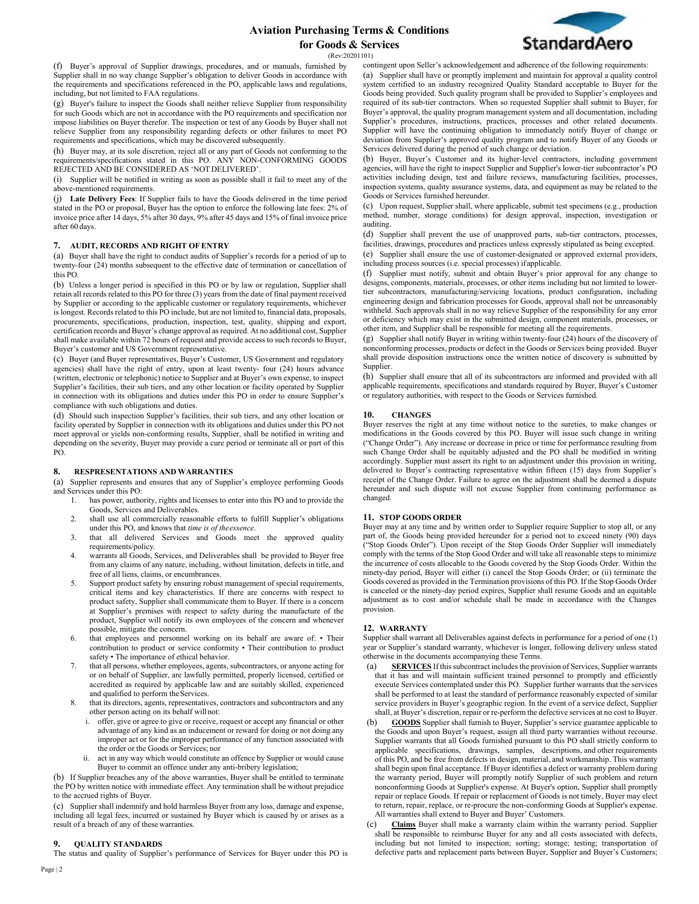

(Rev:20201101)

(f) Buyer's approval of Supplier drawings, procedures, and or manuals, furnished by Supplier shall in no way change Supplier's obligation to deliver Goods in accordance with the requirements and specifications referenced in the PO, applicable laws and regulations, including, but not limited to FAA regulations.

(g) Buyer's failure to inspect the Goods shall neither relieve Supplier from responsibility for such Goods which are not in accordance with the PO requirements and specification nor impose liabilities on Buyer therefor. The inspection or test of any Goods by Buyer shall not relieve Supplier from any responsibility regarding defects or other failures to meet PO requirements and specifications, which may be discovered subsequently.

(h) Buyer may, at its sole discretion, reject all or any part of Goods not conforming to the requirements/specifications stated in this PO. ANY NON-CONFORMING GOODS REJECTED AND BE CONSIDERED AS 'NOT DELIVERED'.

(i) Supplier will be notified in writing as soon as possible shall it fail to meet any of the above-mentioned requirements.

(j) **Late Delivery Fees**: If Supplier fails to have the Goods delivered in the time period stated in the PO or proposal, Buyer has the option to enforce the following late fees: 2% of invoice price after 14 days, 5% after 30 days, 9% after 45 days and 15% of final invoice price after 60 days.

### **7. AUDIT, RECORDS AND RIGHT OFENTRY**

(a) Buyer shall have the right to conduct audits of Supplier's records for a period of up to twenty-four (24) months subsequent to the effective date of termination or cancellation of this PO.

(b) Unless a longer period is specified in this PO or by law or regulation, Supplier shall retain all records related to this PO for three (3) years from the date of final payment received by Supplier or according to the applicable customer or regulatory requirements, whichever is longest. Records related to this PO include, but are not limited to, financial data, proposals, procurements, specifications, production, inspection, test, quality, shipping and export, certification records and Buyer's change approval as required. At no additional cost, Supplier shall make available within 72 hours of request and provide access to such records to Buyer, Buyer's customer and US Government representative.

(c) Buyer (and Buyer representatives, Buyer's Customer, US Government and regulatory agencies) shall have the right of entry, upon at least twenty- four (24) hours advance (written, electronic or telephonic) notice to Supplier and at Buyer's own expense, to inspect Supplier's facilities, their sub tiers, and any other location or facility operated by Supplier in connection with its obligations and duties under this PO in order to ensure Supplier's compliance with such obligations and duties.

(d) Should such inspection Supplier's facilities, their sub tiers, and any other location or facility operated by Supplier in connection with its obligations and duties under this PO not meet approval or yields non-conforming results, Supplier, shall be notified in writing and depending on the severity, Buyer may provide a cure period or terminate all or part of this PO.

### **8. RESPRESENTATIONS AND WARRANTIES**

(a) Supplier represents and ensures that any of Supplier's employee performing Goods and Services under this PO:<br>1. has power, author

- has power, authority, rights and licenses to enter into this PO and to provide the Goods, Services and Deliverables.
- 2. shall use all commercially reasonable efforts to fulfill Supplier's obligations under this PO, and knows that *time is of theessence*.
- 3. that all delivered Services and Goods meet the approved quality requirements/policy.
- 4. warrants all Goods, Services, and Deliverables shall be provided to Buyer free from any claims of any nature, including, without limitation, defects in title, and free of all liens, claims, or encumbrances.
- 5. Support product safety by ensuring robust management of special requirements, critical items and key characteristics. If there are concerns with respect to product safety, Supplier shall communicate them to Buyer. If there is a concern at Supplier's premises with respect to safety during the manufacture of the product, Supplier will notify its own employees of the concern and whenever possible, mitigate the concern.
- that employees and personnel working on its behalf are aware of: Their contribution to product or service conformity • Their contribution to product safety • The importance of ethical behavior.
- 7. that all persons, whether employees, agents, subcontractors, or anyone acting for or on behalf of Supplier, are lawfully permitted, properly licensed, certified or accredited as required by applicable law and are suitably skilled, experienced and qualified to perform the Services.
- that its directors, agents, representatives, contractors and subcontractors and any other person acting on its behalf willnot:
	- i. offer, give or agree to give or receive, request or accept any financial or other advantage of any kind as an inducement or reward for doing or not doing any improper act or for the improper performance of any function associated with the order or the Goods or Services; nor
	- act in any way which would constitute an offence by Supplier or would cause Buyer to commit an offence under any anti-bribery legislation;

(b) If Supplier breaches any of the above warranties, Buyer shall be entitled to terminate the PO by written notice with immediate effect. Any termination shall be without prejudice to the accrued rights of Buyer.

(c) Supplier shall indemnify and hold harmless Buyer from any loss, damage and expense, including all legal fees, incurred or sustained by Buyer which is caused by or arises as a result of a breach of any of these warranties.

### **9. QUALITY STANDARDS**

The status and quality of Supplier's performance of Services for Buyer under this PO is

contingent upon Seller's acknowledgement and adherence of the following requirements: (a) Supplier shall have or promptly implement and maintain for approval a quality control system certified to an industry recognized Quality Standard acceptable to Buyer for the Goods being provided. Such quality program shall be provided to Supplier's employees and required of its sub-tier contractors. When so requested Supplier shall submit to Buyer, for Buyer's approval, the quality program management system and all documentation, including Supplier's procedures, instructions, practices, processes and other related documents. Supplier will have the continuing obligation to immediately notify Buyer of change or deviation from Supplier's approved quality program and to notify Buyer of any Goods or Services delivered during the period of such change or deviation.

(b) Buyer, Buyer's Customer and its higher-level contractors, including government agencies, will have the right to inspect Supplier and Supplier's lower-tier subcontractor's PO activities including design, test and failure reviews, manufacturing facilities, processes, inspection systems, quality assurance systems, data, and equipment as may be related to the Goods or Services furnished hereunder.

(c) Upon request, Supplier shall, where applicable, submit test specimens (e.g., production method, number, storage conditions) for design approval, inspection, investigation or auditing.

(d) Supplier shall prevent the use of unapproved parts, sub-tier contractors, processes, facilities, drawings, procedures and practices unless expressly stipulated as being excepted. (e) Supplier shall ensure the use of customer-designated or approved external providers, including process sources (i.e. special processes) if applicable.

(f) Supplier must notify, submit and obtain Buyer's prior approval for any change to designs, components, materials, processes, or other items including but not limited to lowertier subcontractors, manufacturing/servicing locations, product configuration, including engineering design and fabrication processes for Goods, approval shall not be unreasonably withheld. Such approvals shall in no way relieve Supplier of the responsibility for any error or deficiency which may exist in the submitted design, component materials, processes, or other item, and Supplier shall be responsible for meeting all the requirements.

(g) Supplier shall notify Buyer in writing within twenty-four (24) hours of the discovery of nonconforming processes, products or defect in the Goods or Services being provided. Buyer shall provide disposition instructions once the written notice of discovery is submitted by Supplier.

(h) Supplier shall ensure that all of its subcontractors are informed and provided with all applicable requirements, specifications and standards required by Buyer, Buyer's Customer or regulatory authorities, with respect to the Goods or Services furnished.

#### **10. CHANGES**

Buyer reserves the right at any time without notice to the sureties, to make changes or modifications in the Goods covered by this PO. Buyer will issue such change in writing ("Change Order"). Any increase or decrease in price or time for performance resulting from such Change Order shall be equitably adjusted and the PO shall be modified in writing accordingly. Supplier must assert its right to an adjustment under this provision in writing, delivered to Buyer's contracting representative within fifteen (15) days from Supplier's receipt of the Change Order. Failure to agree on the adjustment shall be deemed a dispute hereunder and such dispute will not excuse Supplier from continuing performance as changed.

### **11. STOP GOODS ORDER**

Buyer may at any time and by written order to Supplier require Supplier to stop all, or any part of, the Goods being provided hereunder for a period not to exceed ninety (90) days ("Stop Goods Order"). Upon receipt of the Stop Goods Order Supplier will immediately comply with the terms of the Stop Good Order and will take all reasonable steps to minimize the incurrence of costs allocable to the Goods covered by the Stop Goods Order. Within the ninety-day period, Buyer will either (i) cancel the Stop Goods Order; or (ii) terminate the Goods covered as provided in the Termination provisions of this PO. If the Stop Goods Order is canceled or the ninety-day period expires, Supplier shall resume Goods and an equitable adjustment as to cost and/or schedule shall be made in accordance with the Changes provision.

### **12. WARRANTY**

Supplier shall warrant all Deliverables against defects in performance for a period of one (1) year or Supplier's standard warranty, whichever is longer, following delivery unless stated otherwise in the documents accompanying these Terms.

- **SERVICES** If this subcontract includes the provision of Services, Supplier warrants that it has and will maintain sufficient trained personnel to promptly and efficiently execute Services contemplated under this PO. Supplier further warrants that the services shall be performed to at least the standard of performance reasonably expected of similar service providers in Buyer's geographic region. In the event of a service defect, Supplier shall, at Buyer's discretion, repair or re-perform the defective services at no cost to Buyer.
- GOODS Supplier shall furnish to Buyer, Supplier's service guarantee applicable to the Goods and upon Buyer's request, assign all third party warranties without recourse. Supplier warrants that all Goods furnished pursuant to this PO shall strictly conform to applicable specifications, drawings, samples, descriptions, and other requirements of this PO, and be free from defects in design, material, and workmanship. This warranty shall begin upon final acceptance. If Buyer identifies a defect or warranty problem during the warranty period, Buyer will promptly notify Supplier of such problem and return nonconforming Goods at Supplier's expense. At Buyer's option, Supplier shall promptly repair or replace Goods. If repair or replacement of Goods is not timely, Buyer may elect to return, repair, replace, or re-procure the non-conforming Goods at Supplier's expense. All warranties shall extend to Buyer and Buyer' Customers.
- Claims Buyer shall make a warranty claim within the warranty period. Supplier shall be responsible to reimburse Buyer for any and all costs associated with defects, including but not limited to inspection; sorting; storage; testing; transportation of defective parts and replacement parts between Buyer, Supplier and Buyer's Customers;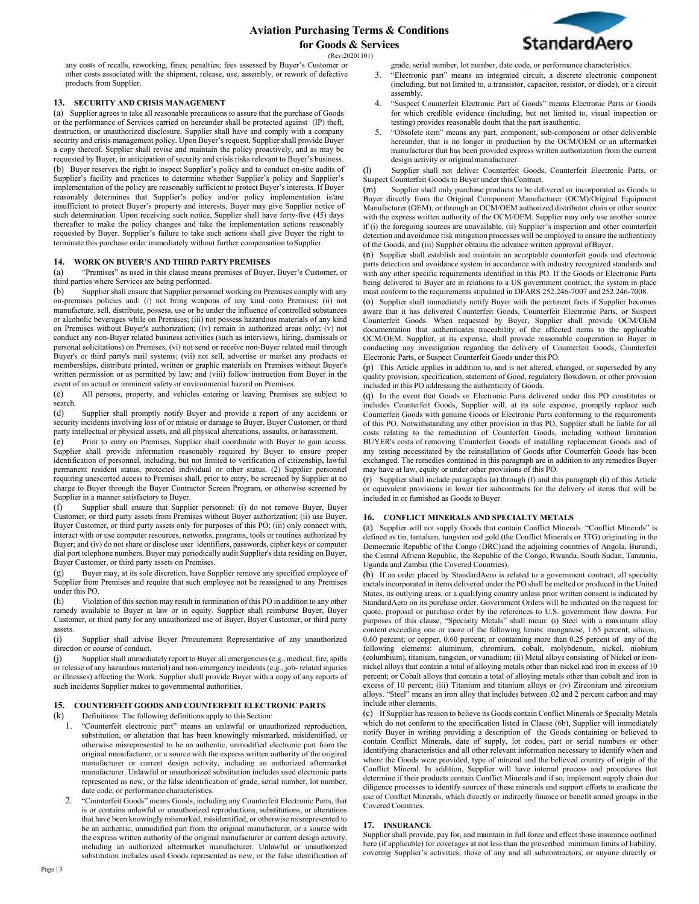**StandardAero** 

(Rev:20201101)

any costs of recalls, reworking, fines; penalties; fees assessed by Buyer's Customer or other costs associated with the shipment, release, use, assembly, or rework of defective products from Supplier.

# **13. SECURITY AND CRISIS MANAGEMENT**

(a) Supplier agrees to take all reasonable precautions to assure that the purchase of Goods or the performance of Services carried on hereunder shall be protected against (IP) theft, destruction, or unauthorized disclosure. Supplier shall have and comply with a company security and crisis management policy. Upon Buyer's request, Supplier shall provide Buyer a copy thereof. Supplier shall revise and maintain the policy proactively, and as may be requested by Buyer, in anticipation of security and crisis risks relevant to Buyer's business. (b) Buyer reserves the right to inspect Supplier's policy and to conduct on-site audits of Supplier's facility and practices to determine whether Supplier's policy and Supplier's implementation of the policy are reasonably sufficient to protect Buyer's interests. If Buyer reasonably determines that Supplier's policy and/or policy implementation is/are insufficient to protect Buyer's property and interests, Buyer may give Supplier notice of such determination. Upon receiving such notice, Supplier shall have forty-five (45) days thereafter to make the policy changes and take the implementation actions reasonably requested by Buyer. Supplier's failure to take such actions shall give Buyer the right to terminate this purchase order immediately without further compensation toSupplier.

# **14. WORK ON BUYER'S AND THIRD PARTYPREMISES**

(a) "Premises" as used in this clause means premises of Buyer, Buyer's Customer, or third parties where Services are being performed.

(b) Supplier shall ensure that Supplier personnel working on Premises comply with any on-premises policies and: (i) not bring weapons of any kind onto Premises; (ii) not manufacture, sell, distribute, possess, use or be under the influence of controlled substances or alcoholic beverages while on Premises; (iii) not possess hazardous materials of any kind on Premises without Buyer's authorization; (iv) remain in authorized areas only; (v) not conduct any non-Buyer related business activities (such as interviews, hiring, dismissals or personal solicitations) on Premises, (vi) not send or receive non-Buyer related mail through Buyer's or third party's mail systems; (vii) not sell, advertise or market any products or memberships, distribute printed, written or graphic materials on Premises without Buyer's written permission or as permitted by law; and (viii) follow instruction from Buyer in the event of an actual or imminent safety or environmental hazard on Premises.

(c) All persons, property, and vehicles entering or leaving Premises are subject to search.<br>(d)

Supplier shall promptly notify Buyer and provide a report of any accidents or security incidents involving loss of or misuse or damage to Buyer, Buyer Customer, or third party intellectual or physical assets, and all physical altercations, assaults, or harassment.

(e) Prior to entry on Premises, Supplier shall coordinate with Buyer to gain access. Supplier shall provide information reasonably required by Buyer to ensure proper identification of personnel, including, but not limited to verification of citizenship, lawful permanent resident status, protected individual or other status. (2) Supplier personnel requiring unescorted access to Premises shall, prior to entry, be screened by Supplier at no charge to Buyer through the Buyer Contractor Screen Program, or otherwise screened by Supplier in a manner satisfactory to Buyer.

(f) Supplier shall ensure that Supplier personnel: (i) do not remove Buyer, Buyer Customer, or third party assets from Premises without Buyer authorization; (ii) use Buyer, Buyer Customer, or third party assets only for purposes of this PO; (iii) only connect with, interact with or use computer resources, networks, programs, tools or routines authorized by Buyer; and (iv) do not share or disclose user identifiers, passwords, cipher keys or computer dial port telephone numbers. Buyer may periodically audit Supplier's data residing on Buyer, Buyer Customer, or third party assets on Premises.

(g) Buyer may, at its sole discretion, have Supplier remove any specified employee of Supplier from Premises and require that such employee not be reassigned to any Premises under this PO.

(h) Violation of this section may result in termination of this PO in addition to any other remedy available to Buyer at law or in equity. Supplier shall reimburse Buyer, Buyer Customer, or third party for any unauthorized use of Buyer, Buyer Customer, or third party assets.

(i) Supplier shall advise Buyer Procurement Representative of any unauthorized direction or course of conduct.

(j) Supplier shall immediately report to Buyer all emergencies (e.g., medical, fire, spills or release of any hazardous material) and non-emergency incidents (e.g., job- related injuries or illnesses) affecting the Work. Supplier shall provide Buyer with a copy of any reports of such incidents Supplier makes to governmental authorities

# **15. COUNTERFEIT GOODS AND COUNTERFEIT ELECTRONIC PARTS**

(k) Definitions: The following definitions apply to this Section:<br>1. "Counterfeit electronic part" means an unlawful or unar-

- 1. "Counterfeit electronic part" means an unlawful or unauthorized reproduction, substitution, or alteration that has been knowingly mismarked, misidentified, or otherwise misrepresented to be an authentic, unmodified electronic part from the original manufacturer, or a source with the express written authority of the original manufacturer or current design activity, including an authorized aftermarket manufacturer. Unlawful or unauthorized substitution includes used electronic parts represented as new, or the false identification of grade, serial number, lot number, date code, or performance characteristics.
- 2. "Counterfeit Goods" means Goods, including any Counterfeit Electronic Parts, that is or contains unlawful or unauthorized reproductions, substitutions, or alterations that have been knowingly mismarked, misidentified, or otherwise misrepresented to be an authentic, unmodified part from the original manufacturer, or a source with the express written authority of the original manufacturer or current design activity, including an authorized aftermarket manufacturer. Unlawful or unauthorized substitution includes used Goods represented as new, or the false identification of

grade, serial number, lot number, date code, or performance characteristics.

- 3. "Electronic part" means an integrated circuit, a discrete electronic component (including, but not limited to, a transistor, capacitor, resistor, or diode), or a circuit assembly.
- 4. "Suspect Counterfeit Electronic Part of Goods" means Electronic Parts or Goods for which credible evidence (including, but not limited to, visual inspection or testing) provides reasonable doubt that the part isauthentic.
- 5. "Obsolete item" means any part, component, sub-component or other deliverable hereunder, that is no longer in production by the OCM/OEM or an aftermarket manufacturer that has been provided express written authorization from the current design activity or original manufacturer.

(l) Supplier shall not deliver Counterfeit Goods, Counterfeit Electronic Parts, or Suspect Counterfeit Goods to Buyer under thisContract.

(m) Supplier shall only purchase products to be delivered or incorporated as Goods to Buyer directly from the Original Component Manufacturer (OCM)/Original Equipment Manufacturer (OEM), or through an OCM/OEM authorized distributor chain or other source with the express written authority of the OCM/OEM. Supplier may only use another source if (i) the foregoing sources are unavailable, (ii) Supplier's inspection and other counterfeit detection and avoidance risk mitigation processes will be employed to ensure the authenticity of the Goods, and (iii) Supplier obtains the advance written approval ofBuyer.

(n) Supplier shall establish and maintain an acceptable counterfeit goods and electronic parts detection and avoidance system in accordance with industry recognized standards and with any other specific requirements identified in this PO. If the Goods or Electronic Parts being delivered to Buyer are in relations to a US government contract, the system in place must conform to the requirements stipulated in DFARS 252.246-7007 and 252.246-7008.

(o) Supplier shall immediately notify Buyer with the pertinent facts if Supplier becomes aware that it has delivered Counterfeit Goods, Counterfeit Electronic Parts, or Suspect Counterfeit Goods. When requested by Buyer, Supplier shall provide OCM/OEM documentation that authenticates traceability of the affected items to the applicable OCM/OEM. Supplier, at its expense, shall provide reasonable cooperation to Buyer in conducting any investigation regarding the delivery of Counterfeit Goods, Counterfeit Electronic Parts, or Suspect Counterfeit Goods under this PO.

(p) This Article applies in addition to, and is not altered, changed, or superseded by any quality provision, specification, statement of Good, regulatory flowdown, or other provision included in this PO addressing the authenticity of Goods.

(q) In the event that Goods or Electronic Parts delivered under this PO constitutes or includes Counterfeit Goods, Supplier will, at its sole expense, promptly replace such Counterfeit Goods with genuine Goods or Electronic Parts conforming to the requirements of this PO. Notwithstanding any other provision in this PO, Supplier shall be liable for all costs relating to the remediation of Counterfeit Goods, including without limitation BUYER's costs of removing Counterfeit Goods of installing replacement Goods and of any testing necessitated by the reinstallation of Goods after Counterfeit Goods has been exchanged. The remedies contained in this paragraph are in addition to any remedies Buyer may have at law, equity or under other provisions of this PO.

(r) Supplier shall include paragraphs (a) through (f) and this paragraph (h) of this Article or equivalent provisions in lower tier subcontracts for the delivery of items that will be included in or furnished as Goods to Buyer.

# **16. CONFLICT MINERALS AND SPECIALTY METALS**

(a) Supplier will not supply Goods that contain Conflict Minerals. "Conflict Minerals" is defined as tin, tantalum, tungsten and gold (the Conflict Minerals or 3TG) originating in the Democratic Republic of the Congo (DRC)and the adjoining countries of Angola, Burundi, the Central African Republic, the Republic of the Congo, Rwanda, South Sudan, Tanzania, Uganda and Zambia (the Covered Countries).

(b) If an order placed by StandardAero is related to a government contract, all specialty metals incorporated in items delivered under the PO shall be melted or produced in the United States, its outlying areas, or a qualifying country unless prior written consent is indicated by StandardAero on its purchase order. Government Orders will be indicated on the request for quote, proposal or purchase order by the references to U.S. government flow downs. For purposes of this clause, "Specialty Metals" shall mean: (i) Steel with a maximum alloy content exceeding one or more of the following limits: manganese, 1.65 percent; silicon, 0.60 percent; or copper, 0.60 percent; or containing more than 0.25 percent of any of the following elements: aluminum, chromium, cobalt, molybdenum, nickel, niobium (columbium), titanium, tungsten, or vanadium; (ii) Metal alloys consisting of Nickel or ironnickel alloys that contain a total of alloying metals other than nickel and iron in excess of 10 percent; or Cobalt alloys that contain a total of alloying metals other than cobalt and iron in excess of 10 percent; (iii) Titanium and titanium alloys or (iv) Zirconium and zirconium alloys. "Steel" means an iron alloy that includes between .02 and 2 percent carbon and may include other elements.

(c) If Supplier has reason to believe its Goods contain Conflict Minerals or Specialty Metals which do not conform to the specification listed in Clause (6b), Supplier will immediately notify Buyer in writing providing a description of the Goods containing or believed to contain Conflict Minerals, date of supply, lot codes, part or serial numbers or other identifying characteristics and all other relevant information necessary to identify when and where the Goods were provided, type of mineral and the believed country of origin of the Conflict Mineral. In addition, Supplier will have internal process and procedures that determine if their products contain Conflict Minerals and if so, implement supply chain due diligence processes to identify sources of these minerals and support efforts to eradicate the use of Conflict Minerals, which directly or indirectly finance or benefit armed groups in the Covered Countries.

# **17. INSURANCE**

Supplier shall provide, pay for, and maintain in full force and effect those insurance outlined here (if applicable) for coverages at not less than the prescribed minimum limits of liability, covering Supplier's activities, those of any and all subcontractors, or anyone directly or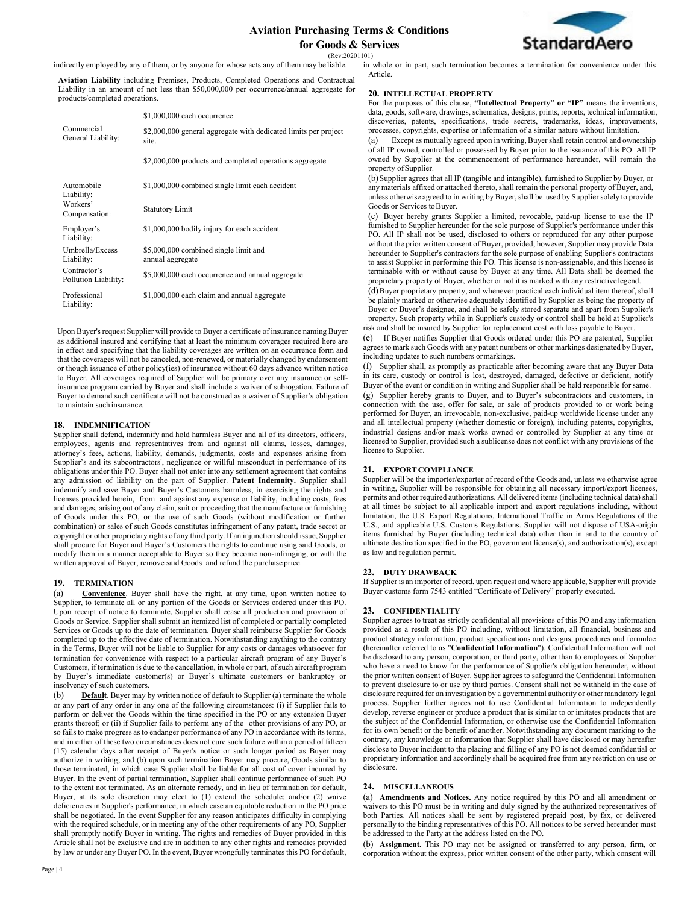

(Rev:20201101)

indirectly employed by any of them, or by anyone for whose acts any of them may be liable.

**Aviation Liability** including Premises, Products, Completed Operations and Contractual Liability in an amount of not less than \$50,000,000 per occurrence/annual aggregate for products/completed operations.

|                                                       | \$1,000,000 each occurrence                                              |
|-------------------------------------------------------|--------------------------------------------------------------------------|
| Commercial<br>General Liability:                      | \$2,000,000 general aggregate with dedicated limits per project<br>site. |
|                                                       | \$2,000,000 products and completed operations aggregate                  |
| Automobile<br>Liability:<br>Workers'<br>Compensation: | \$1,000,000 combined single limit each accident                          |
|                                                       | <b>Statutory Limit</b>                                                   |
| Employer's<br>Liability:                              | \$1,000,000 bodily injury for each accident                              |
| Umbrella/Excess<br>Liability:                         | \$5,000,000 combined single limit and<br>annual aggregate                |
| Contractor's<br>Pollution Liability:                  | \$5,000,000 each occurrence and annual aggregate                         |
| Professional<br>Liability:                            | \$1,000,000 each claim and annual aggregate                              |

Upon Buyer's request Supplier will provide to Buyer a certificate of insurance naming Buyer as additional insured and certifying that at least the minimum coverages required here are in effect and specifying that the liability coverages are written on an occurrence form and that the coverages will not be canceled, non-renewed, or materially changed by endorsement or though issuance of other policy(ies) of insurance without 60 days advance written notice to Buyer. All coverages required of Supplier will be primary over any insurance or selfinsurance program carried by Buyer and shall include a waiver of subrogation. Failure of Buyer to demand such certificate will not be construed as a waiver of Supplier's obligation to maintain such insurance.

### **18. INDEMNIFICATION**

Supplier shall defend, indemnify and hold harmless Buyer and all of its directors, officers, employees, agents and representatives from and against all claims, losses, damages, attorney's fees, actions, liability, demands, judgments, costs and expenses arising from Supplier's and its subcontractors', negligence or willful misconduct in performance of its obligations under this PO. Buyer shall not enter into any settlement agreement that contains any admission of liability on the part of Supplier. **Patent Indemnity.** Supplier shall indemnify and save Buyer and Buyer's Customers harmless, in exercising the rights and licenses provided herein, from and against any expense or liability, including costs, fees and damages, arising out of any claim, suit or proceeding that the manufacture or furnishing of Goods under this PO, or the use of such Goods (without modification or further combination) or sales of such Goods constitutes infringement of any patent, trade secret or copyright or other proprietary rights of any third party. If an injunction should issue, Supplier shall procure for Buyer and Buyer's Customers the rights to continue using said Goods, or modify them in a manner acceptable to Buyer so they become non-infringing, or with the written approval of Buyer, remove said Goods and refund the purchase price.

### **19. TERMINATION**

(a) **Convenience**. Buyer shall have the right, at any time, upon written notice to Supplier, to terminate all or any portion of the Goods or Services ordered under this PO. Upon receipt of notice to terminate, Supplier shall cease all production and provision of Goods or Service. Supplier shall submit an itemized list of completed or partially completed Services or Goods up to the date of termination. Buyer shall reimburse Supplier for Goods completed up to the effective date of termination. Notwithstanding anything to the contrary in the Terms, Buyer will not be liable to Supplier for any costs or damages whatsoever for termination for convenience with respect to a particular aircraft program of any Buyer's Customers, if termination is due to the cancellation, in whole or part, of such aircraft program by Buyer's immediate customer(s) or Buyer's ultimate customers or bankruptcy or insolvency of such customers.

(b) **Default**. Buyer may by written notice of default to Supplier (a) terminate the whole or any part of any order in any one of the following circumstances: (i) if Supplier fails to perform or deliver the Goods within the time specified in the PO or any extension Buyer grants thereof; or (ii) if Supplier fails to perform any of the other provisions of any PO, or so fails to make progress as to endanger performance of any PO in accordance with its terms, and in either of these two circumstances does not cure such failure within a period of fifteen (15) calendar days after receipt of Buyer's notice or such longer period as Buyer may authorize in writing; and (b) upon such termination Buyer may procure, Goods similar to those terminated, in which case Supplier shall be liable for all cost of cover incurred by Buyer. In the event of partial termination, Supplier shall continue performance of such PO to the extent not terminated. As an alternate remedy, and in lieu of termination for default, Buyer, at its sole discretion may elect to (1) extend the schedule; and/or (2) waive deficiencies in Supplier's performance, in which case an equitable reduction in the PO price shall be negotiated. In the event Supplier for any reason anticipates difficulty in complying with the required schedule, or in meeting any of the other requirements of any PO, Supplier shall promptly notify Buyer in writing. The rights and remedies of Buyer provided in this Article shall not be exclusive and are in addition to any other rights and remedies provided by law or under any Buyer PO. In the event, Buyer wrongfully terminates this PO for default, in whole or in part, such termination becomes a termination for convenience under this Article.

### **20. INTELLECTUAL PROPERTY**

For the purposes of this clause, **"Intellectual Property" or "IP"** means the inventions, data, goods, software, drawings, schematics, designs, prints, reports, technical information, discoveries, patents, specifications, trade secrets, trademarks, ideas, improvements, processes, copyrights, expertise or information of a similar nature without limitation.

Except as mutually agreed upon in writing, Buyer shall retain control and ownership of all IP owned, controlled or possessed by Buyer prior to the issuance of this PO. All IP owned by Supplier at the commencement of performance hereunder, will remain the property of Supplier.

(b)Supplier agrees that all IP (tangible and intangible), furnished to Supplier by Buyer, or any materials affixed or attached thereto, shall remain the personal property of Buyer, and, unless otherwise agreed to in writing by Buyer, shall be used by Supplier solely to provide Goods or Services toBuyer.

(c) Buyer hereby grants Supplier a limited, revocable, paid-up license to use the IP furnished to Supplier hereunder for the sole purpose of Supplier's performance under this PO. All IP shall not be used, disclosed to others or reproduced for any other purpose without the prior written consent of Buyer, provided, however, Supplier may provide Data hereunder to Supplier's contractors for the sole purpose of enabling Supplier's contractors to assist Supplier in performing this PO. This license is non-assignable, and this license is terminable with or without cause by Buyer at any time. All Data shall be deemed the proprietary property of Buyer, whether or not it is marked with any restrictive legend.

(d)Buyer proprietary property, and whenever practical each individual item thereof, shall be plainly marked or otherwise adequately identified by Supplier as being the property of Buyer or Buyer's designee, and shall be safely stored separate and apart from Supplier's property. Such property while in Supplier's custody or control shall be held at Supplier's risk and shall be insured by Supplier for replacement cost with loss payable to Buyer.

(e) If Buyer notifies Supplier that Goods ordered under this PO are patented, Supplier agrees to mark such Goods with any patent numbers or other markings designated by Buyer, including updates to such numbers ormarkings.

(f) Supplier shall, as promptly as practicable after becoming aware that any Buyer Data in its care, custody or control is lost, destroyed, damaged, defective or deficient, notify Buyer of the event or condition in writing and Supplier shall be held responsible forsame. (g) Supplier hereby grants to Buyer, and to Buyer's subcontractors and customers, in connection with the use, offer for sale, or sale of products provided to or work being performed for Buyer, an irrevocable, non-exclusive, paid-up worldwide license under any and all intellectual property (whether domestic or foreign), including patents, copyrights, industrial designs and/or mask works owned or controlled by Supplier at any time or licensed to Supplier, provided such a sublicense does not conflict with any provisions of the license to Supplier.

### **21. EXPORT COMPLIANCE**

Supplier will be the importer/exporter of record of the Goods and, unless we otherwise agree in writing, Supplier will be responsible for obtaining all necessary import/export licenses, permits and other required authorizations. All delivered items (including technical data) shall at all times be subject to all applicable import and export regulations including, without limitation, the U.S. Export Regulations, International Traffic in Arms Regulations of the U.S., and applicable U.S. Customs Regulations. Supplier will not dispose of USA-origin items furnished by Buyer (including technical data) other than in and to the country of ultimate destination specified in the PO, government license(s), and authorization(s), except as law and regulation permit.

# **22. DUTY DRAWBACK**

If Supplier is an importer of record, upon request and where applicable, Supplier will provide Buyer customs form 7543 entitled "Certificate of Delivery" properly executed.

# **23. CONFIDENTIALITY**

Supplier agrees to treat as strictly confidential all provisions of this PO and any information provided as a result of this PO including, without limitation, all financial, business and product strategy information, product specifications and designs, procedures and formulae (hereinafter referred to as "**Confidential Information**"). Confidential Information will not be disclosed to any person, corporation, or third party, other than to employees of Supplier who have a need to know for the performance of Supplier's obligation hereunder, without the prior written consent of Buyer. Supplier agrees to safeguard the Confidential Information to prevent disclosure to or use by third parties. Consent shall not be withheld in the case of disclosure required for an investigation by a governmental authority or other mandatory legal process. Supplier further agrees not to use Confidential Information to independently develop, reverse engineer or produce a product that is similar to or imitates products that are the subject of the Confidential Information, or otherwise use the Confidential Information for its own benefit or the benefit of another. Notwithstanding any document marking to the contrary, any knowledge or information that Supplier shall have disclosed or may hereafter disclose to Buyer incident to the placing and filling of any PO is not deemed confidential or proprietary information and accordingly shall be acquired free from any restriction on use or disclosure.

### **24. MISCELLANEOUS**

(a) **Amendments and Notices.** Any notice required by this PO and all amendment or waivers to this PO must be in writing and duly signed by the authorized representatives of both Parties. All notices shall be sent by registered prepaid post, by fax, or delivered personally to the binding representatives of this PO. All notices to be served hereunder must be addressed to the Party at the address listed on the PO.

(b) **Assignment.** This PO may not be assigned or transferred to any person, firm, or corporation without the express, prior written consent of the other party, which consent will